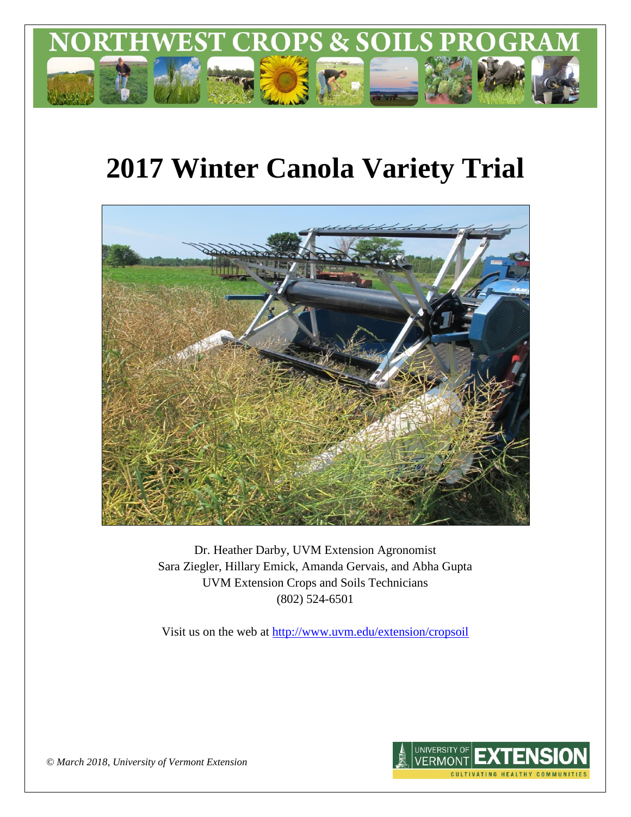

# **2017 Winter Canola Variety Trial**



Dr. Heather Darby, UVM Extension Agronomist Sara Ziegler, Hillary Emick, Amanda Gervais, and Abha Gupta UVM Extension Crops and Soils Technicians (802) 524-6501

Visit us on the web at <http://www.uvm.edu/extension/cropsoil>



*© March 2018, University of Vermont Extension*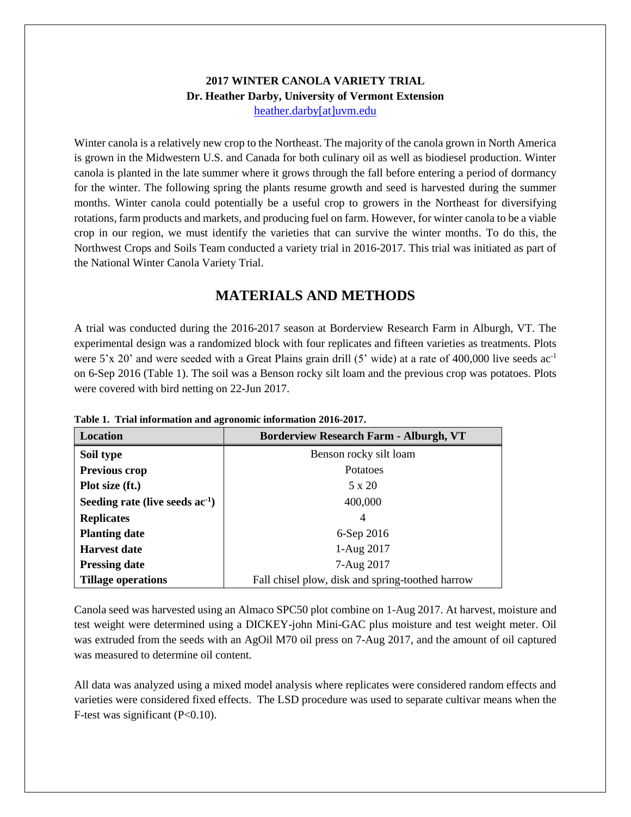#### **2017 WINTER CANOLA VARIETY TRIAL Dr. Heather Darby, University of Vermont Extension** [heather.darby\[at\]uvm.edu](mailto:heather.darby@uvm.edu?subject=2013%20Sunflower%20Reduced%20Tillage%20Trial)

Winter canola is a relatively new crop to the Northeast. The majority of the canola grown in North America is grown in the Midwestern U.S. and Canada for both culinary oil as well as biodiesel production. Winter canola is planted in the late summer where it grows through the fall before entering a period of dormancy for the winter. The following spring the plants resume growth and seed is harvested during the summer months. Winter canola could potentially be a useful crop to growers in the Northeast for diversifying rotations, farm products and markets, and producing fuel on farm. However, for winter canola to be a viable crop in our region, we must identify the varieties that can survive the winter months. To do this, the Northwest Crops and Soils Team conducted a variety trial in 2016-2017. This trial was initiated as part of the National Winter Canola Variety Trial.

## **MATERIALS AND METHODS**

A trial was conducted during the 2016-2017 season at Borderview Research Farm in Alburgh, VT. The experimental design was a randomized block with four replicates and fifteen varieties as treatments. Plots were 5'x 20' and were seeded with a Great Plains grain drill (5' wide) at a rate of 400,000 live seeds ac<sup>-1</sup> on 6-Sep 2016 (Table 1). The soil was a Benson rocky silt loam and the previous crop was potatoes. Plots were covered with bird netting on 22-Jun 2017.

| Location                             | <b>Borderview Research Farm - Alburgh, VT</b>    |  |  |  |  |  |
|--------------------------------------|--------------------------------------------------|--|--|--|--|--|
| Soil type                            | Benson rocky silt loam                           |  |  |  |  |  |
| Previous crop                        | Potatoes                                         |  |  |  |  |  |
| Plot size (ft.)                      | 5 x 20                                           |  |  |  |  |  |
| Seeding rate (live seeds $ac^{-1}$ ) | 400,000                                          |  |  |  |  |  |
| <b>Replicates</b>                    | 4                                                |  |  |  |  |  |
| <b>Planting date</b>                 | 6-Sep 2016                                       |  |  |  |  |  |
| Harvest date                         | 1-Aug 2017                                       |  |  |  |  |  |
| <b>Pressing date</b>                 | 7-Aug 2017                                       |  |  |  |  |  |
| <b>Tillage operations</b>            | Fall chisel plow, disk and spring-toothed harrow |  |  |  |  |  |

**Table 1. Trial information and agronomic information 2016-2017.**

Canola seed was harvested using an Almaco SPC50 plot combine on 1-Aug 2017. At harvest, moisture and test weight were determined using a DICKEY-john Mini-GAC plus moisture and test weight meter. Oil was extruded from the seeds with an AgOil M70 oil press on 7-Aug 2017, and the amount of oil captured was measured to determine oil content.

All data was analyzed using a mixed model analysis where replicates were considered random effects and varieties were considered fixed effects. The LSD procedure was used to separate cultivar means when the F-test was significant (P<0.10).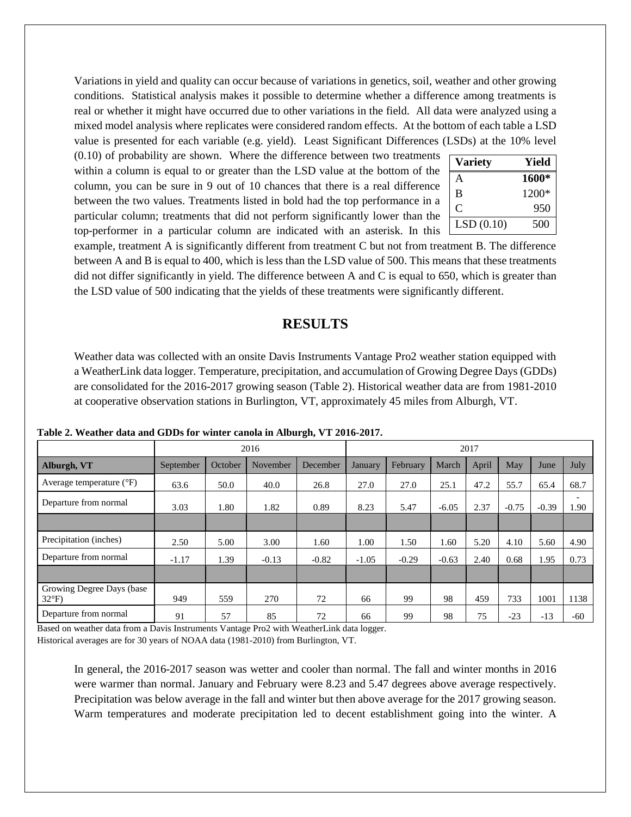Variations in yield and quality can occur because of variations in genetics, soil, weather and other growing conditions. Statistical analysis makes it possible to determine whether a difference among treatments is real or whether it might have occurred due to other variations in the field. All data were analyzed using a mixed model analysis where replicates were considered random effects. At the bottom of each table a LSD value is presented for each variable (e.g. yield). Least Significant Differences (LSDs) at the 10% level

(0.10) of probability are shown. Where the difference between two treatments within a column is equal to or greater than the LSD value at the bottom of the column, you can be sure in 9 out of 10 chances that there is a real difference between the two values. Treatments listed in bold had the top performance in a particular column; treatments that did not perform significantly lower than the top-performer in a particular column are indicated with an asterisk. In this  $\Box$ 

| <b>Variety</b> | Yield |
|----------------|-------|
| А              | 1600* |
| B              | 1200* |
| C              | 950   |
| LSD(0.10)      | 500   |

example, treatment A is significantly different from treatment C but not from treatment B. The difference between A and B is equal to 400, which is less than the LSD value of 500. This means that these treatments did not differ significantly in yield. The difference between A and C is equal to 650, which is greater than the LSD value of 500 indicating that the yields of these treatments were significantly different.

### **RESULTS**

Weather data was collected with an onsite Davis Instruments Vantage Pro2 weather station equipped with a WeatherLink data logger. Temperature, precipitation, and accumulation of Growing Degree Days (GDDs) are consolidated for the 2016-2017 growing season (Table 2). Historical weather data are from 1981-2010 at cooperative observation stations in Burlington, VT, approximately 45 miles from Alburgh, VT.

|                                            | 2016      |         |          |          | 2017    |          |         |       |         |         |             |
|--------------------------------------------|-----------|---------|----------|----------|---------|----------|---------|-------|---------|---------|-------------|
| Alburgh, VT                                | September | October | November | December | January | February | March   | April | May     | June    | <b>July</b> |
| Average temperature $(^{\circ}F)$          | 63.6      | 50.0    | 40.0     | 26.8     | 27.0    | 27.0     | 25.1    | 47.2  | 55.7    | 65.4    | 68.7        |
| Departure from normal                      | 3.03      | 1.80    | 1.82     | 0.89     | 8.23    | 5.47     | $-6.05$ | 2.37  | $-0.75$ | $-0.39$ | 1.90        |
|                                            |           |         |          |          |         |          |         |       |         |         |             |
| Precipitation (inches)                     | 2.50      | 5.00    | 3.00     | 1.60     | 1.00    | 1.50     | 1.60    | 5.20  | 4.10    | 5.60    | 4.90        |
| Departure from normal                      | $-1.17$   | 1.39    | $-0.13$  | $-0.82$  | $-1.05$ | $-0.29$  | $-0.63$ | 2.40  | 0.68    | 1.95    | 0.73        |
|                                            |           |         |          |          |         |          |         |       |         |         |             |
| Growing Degree Days (base<br>$32^{\circ}F$ | 949       | 559     | 270      | 72       | 66      | 99       | 98      | 459   | 733     | 1001    | 1138        |
| Departure from normal                      | 91        | 57      | 85       | 72       | 66      | 99       | 98      | 75    | $-23$   | $-13$   | $-60$       |

**Table 2. Weather data and GDDs for winter canola in Alburgh, VT 2016-2017.**

Based on weather data from a Davis Instruments Vantage Pro2 with WeatherLink data logger. Historical averages are for 30 years of NOAA data (1981-2010) from Burlington, VT.

> In general, the 2016-2017 season was wetter and cooler than normal. The fall and winter months in 2016 were warmer than normal. January and February were 8.23 and 5.47 degrees above average respectively. Precipitation was below average in the fall and winter but then above average for the 2017 growing season. Warm temperatures and moderate precipitation led to decent establishment going into the winter. A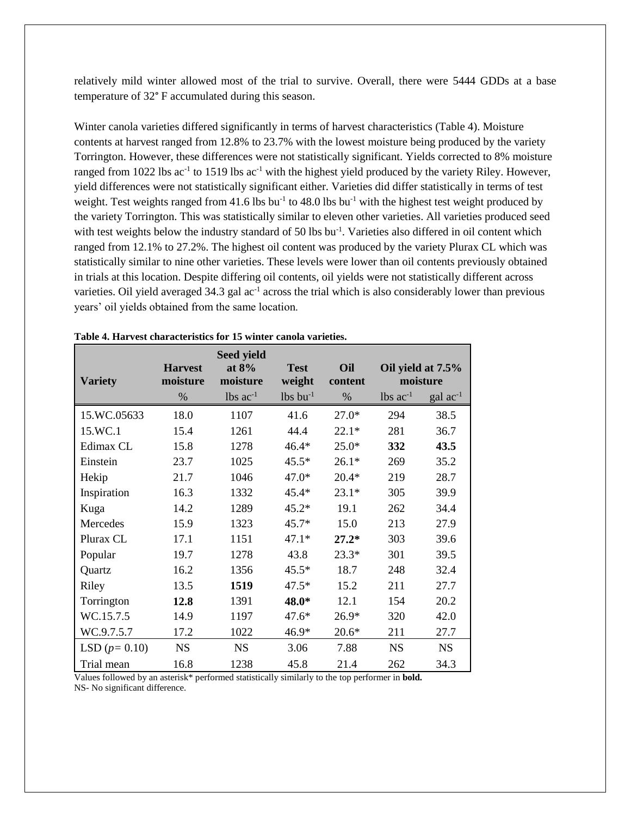relatively mild winter allowed most of the trial to survive. Overall, there were 5444 GDDs at a base temperature of 32° F accumulated during this season.

Winter canola varieties differed significantly in terms of harvest characteristics (Table 4). Moisture contents at harvest ranged from 12.8% to 23.7% with the lowest moisture being produced by the variety Torrington. However, these differences were not statistically significant. Yields corrected to 8% moisture ranged from 1022 lbs  $ac^{-1}$  to 1519 lbs  $ac^{-1}$  with the highest yield produced by the variety Riley. However, yield differences were not statistically significant either. Varieties did differ statistically in terms of test weight. Test weights ranged from 41.6 lbs bu<sup>-1</sup> to 48.0 lbs bu<sup>-1</sup> with the highest test weight produced by the variety Torrington. This was statistically similar to eleven other varieties. All varieties produced seed with test weights below the industry standard of 50 lbs bu<sup>-1</sup>. Varieties also differed in oil content which ranged from 12.1% to 27.2%. The highest oil content was produced by the variety Plurax CL which was statistically similar to nine other varieties. These levels were lower than oil contents previously obtained in trials at this location. Despite differing oil contents, oil yields were not statistically different across varieties. Oil yield averaged  $34.3$  gal ac<sup>-1</sup> across the trial which is also considerably lower than previous years' oil yields obtained from the same location.

| <b>Variety</b> | <b>Harvest</b><br>moisture | <b>Seed yield</b><br>at $8%$<br>moisture | <b>Test</b><br>weight  | Oil<br>content | Oil yield at 7.5%<br>moisture |                   |
|----------------|----------------------------|------------------------------------------|------------------------|----------------|-------------------------------|-------------------|
|                | %                          | $lbs$ ac <sup>-1</sup>                   | $lbs$ bu <sup>-1</sup> | %              | $lbs$ $ac^{-1}$               | $\rm gal~ac^{-1}$ |
| 15.WC.05633    | 18.0                       | 1107                                     | 41.6                   | $27.0*$        | 294                           | 38.5              |
| 15.WC.1        | 15.4                       | 1261                                     | 44.4                   | $22.1*$        | 281                           | 36.7              |
| Edimax CL      | 15.8                       | 1278                                     | $46.4*$                | $25.0*$        | 332                           | 43.5              |
| Einstein       | 23.7                       | 1025                                     | $45.5*$                | $26.1*$        | 269                           | 35.2              |
| Hekip          | 21.7                       | 1046                                     | $47.0*$                | $20.4*$        | 219                           | 28.7              |
| Inspiration    | 16.3                       | 1332                                     | $45.4*$                | $23.1*$        | 305                           | 39.9              |
| Kuga           | 14.2                       | 1289                                     | $45.2*$                | 19.1           | 262                           | 34.4              |
| Mercedes       | 15.9                       | 1323                                     | $45.7*$                | 15.0           | 213                           | 27.9              |
| Plurax CL      | 17.1                       | 1151                                     | $47.1*$                | $27.2*$        | 303                           | 39.6              |
| Popular        | 19.7                       | 1278                                     | 43.8                   | $23.3*$        | 301                           | 39.5              |
| Quartz         | 16.2                       | 1356                                     | $45.5*$                | 18.7           | 248                           | 32.4              |
| Riley          | 13.5                       | 1519                                     | $47.5*$                | 15.2           | 211                           | 27.7              |
| Torrington     | 12.8                       | 1391                                     | 48.0*                  | 12.1           | 154                           | 20.2              |
| WC.15.7.5      | 14.9                       | 1197                                     | $47.6*$                | $26.9*$        | 320                           | 42.0              |
| WC.9.7.5.7     | 17.2                       | 1022                                     | 46.9*                  | $20.6*$        | 211                           | 27.7              |
| LSD $(p=0.10)$ | <b>NS</b>                  | <b>NS</b>                                | 3.06                   | 7.88           | <b>NS</b>                     | <b>NS</b>         |
| Trial mean     | 16.8                       | 1238                                     | 45.8                   | 21.4           | 262                           | 34.3              |

|  |  |  | Table 4. Harvest characteristics for 15 winter canola varieties. |  |  |  |  |
|--|--|--|------------------------------------------------------------------|--|--|--|--|
|--|--|--|------------------------------------------------------------------|--|--|--|--|

Values followed by an asterisk\* performed statistically similarly to the top performer in **bold.** NS- No significant difference.